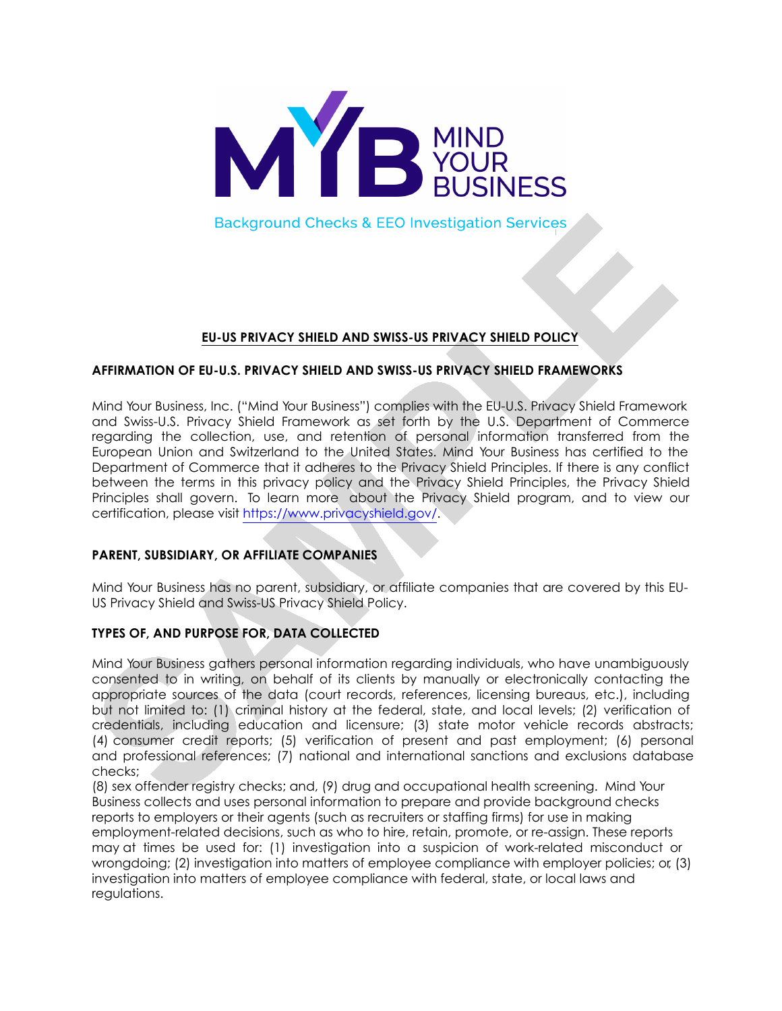

**Background Checks & EEO Investigation Services** 

# **EU-US PRIVACY SHIELD AND SWISS-US PRIVACY SHIELD POLICY**

# **AFFIRMATION OF EU-U.S. PRIVACY SHIELD AND SWISS-US PRIVACY SHIELD FRAMEWORKS**

Mind Your Business, Inc. ("Mind Your Business") complies with the EU-U.S. Privacy Shield Framework and Swiss-U.S. Privacy Shield Framework as set forth by the U.S. Department of Commerce regarding the collection, use, and retention of personal information transferred from the European Union and Switzerland to the United States. Mind Your Business has certified to the Department of Commerce that it adheres to the Privacy Shield Principles. If there is any conflict between the terms in this privacy policy and the Privacy Shield Principles, the Privacy Shield Principles shall govern. To learn more about the Privacy Shield program, and to view our certification, please visit https://www.privacyshield.gov/.

# **PARENT, SUBSIDIARY, OR AFFILIATE COMPANIES**

Mind Your Business has no parent, subsidiary, or affiliate companies that are covered by this EU-US Privacy Shield and Swiss-US Privacy Shield Policy.

# **TYPES OF, AND PURPOSE FOR, DATA COLLECTED**

Mind Your Business gathers personal information regarding individuals, who have unambiguously consented to in writing, on behalf of its clients by manually or electronically contacting the appropriate sources of the data (court records, references, licensing bureaus, etc.), including but not limited to: (1) criminal history at the federal, state, and local levels; (2) verification of credentials, including education and licensure; (3) state motor vehicle records abstracts; (4) consumer credit reports; (5) verification of present and past employment; (6) personal and professional references; (7) national and international sanctions and exclusions database checks;

(8) sex offender registry checks; and, (9) drug and occupational health screening. Mind Your Business collects and uses personal information to prepare and provide background checks reports to employers or their agents (such as recruiters or staffing firms) for use in making employment-related decisions, such as who to hire, retain, promote, or re-assign. These reports may at times be used for: (1) investigation into a suspicion of work-related misconduct or wrongdoing; (2) investigation into matters of employee compliance with employer policies; or, (3) investigation into matters of employee compliance with federal, state, or local laws and regulations.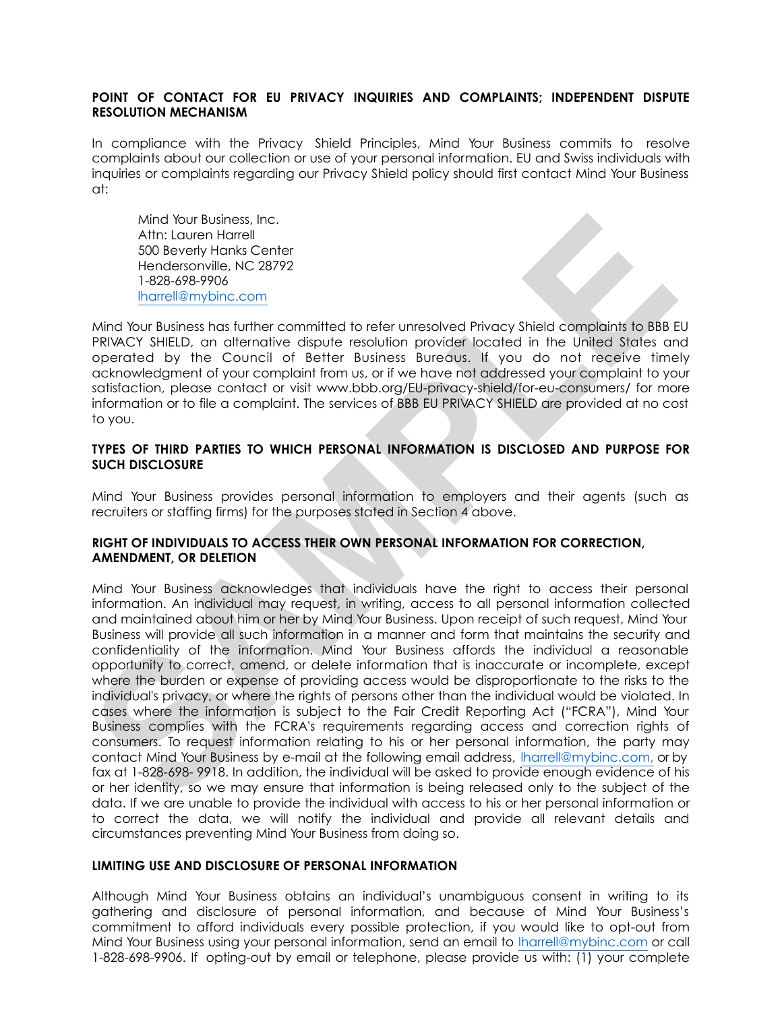## **POINT OF CONTACT FOR EU PRIVACY INQUIRIES AND COMPLAINTS; INDEPENDENT DISPUTE RESOLUTION MECHANISM**

In compliance with the Privacy Shield Principles, Mind Your Business commits to resolve complaints about our collection or use of your personal information. EU and Swiss individuals with inquiries or complaints regarding our Privacy Shield policy should first contact Mind Your Business at:

Mind Your Business, Inc. Attn: Lauren Harrell 500 Beverly Hanks Center Hendersonville, NC 28792 1-828-698-9906 lharrell@mybinc.com

Mind Your Business has further committed to refer unresolved Privacy Shield complaints to BBB EU PRIVACY SHIELD, an alternative dispute resolution provider located in the United States and operated by the Council of Better Business Bureaus. If you do not receive timely acknowledgment of your complaint from us, or if we have not addressed your complaint to your satisfaction, please contact or visit www.bbb.org/EU-privacy-shield/for-eu-consumers/ for more information or to file a complaint. The services of BBB EU PRIVACY SHIELD are provided at no cost to you.

## **TYPES OF THIRD PARTIES TO WHICH PERSONAL INFORMATION IS DISCLOSED AND PURPOSE FOR SUCH DISCLOSURE**

Mind Your Business provides personal information to employers and their agents (such as recruiters or staffing firms) for the purposes stated in Section 4 above.

# **RIGHT OF INDIVIDUALS TO ACCESS THEIR OWN PERSONAL INFORMATION FOR CORRECTION, AMENDMENT, OR DELETION**

Mind Your Business acknowledges that individuals have the right to access their personal information. An individual may request, in writing, access to all personal information collected and maintained about him or her by Mind Your Business. Upon receipt of such request, Mind Your Business will provide all such information in a manner and form that maintains the security and confidentiality of the information. Mind Your Business affords the individual a reasonable opportunity to correct, amend, or delete information that is inaccurate or incomplete, except where the burden or expense of providing access would be disproportionate to the risks to the individual's privacy, or where the rights of persons other than the individual would be violated. In cases where the information is subject to the Fair Credit Reporting Act ("FCRA"), Mind Your Business complies with the FCRA's requirements regarding access and correction rights of consumers. To request information relating to his or her personal information, the party may contact Mind Your Business by e-mail at the following email address, lharrell@mybinc.com, or by fax at 1-828-698- 9918. In addition, the individual will be asked to provide enough evidence of his or her identity, so we may ensure that information is being released only to the subject of the data. If we are unable to provide the individual with access to his or her personal information or to correct the data, we will notify the individual and provide all relevant details and circumstances preventing Mind Your Business from doing so.

#### **LIMITING USE AND DISCLOSURE OF PERSONAL INFORMATION**

Although Mind Your Business obtains an individual's unambiguous consent in writing to its gathering and disclosure of personal information, and because of Mind Your Business's commitment to afford individuals every possible protection, if you would like to opt-out from Mind Your Business using your personal information, send an email to lharrell@mybinc.com or call 1-828-698-9906. If opting-out by email or telephone, please provide us with: (1) your complete